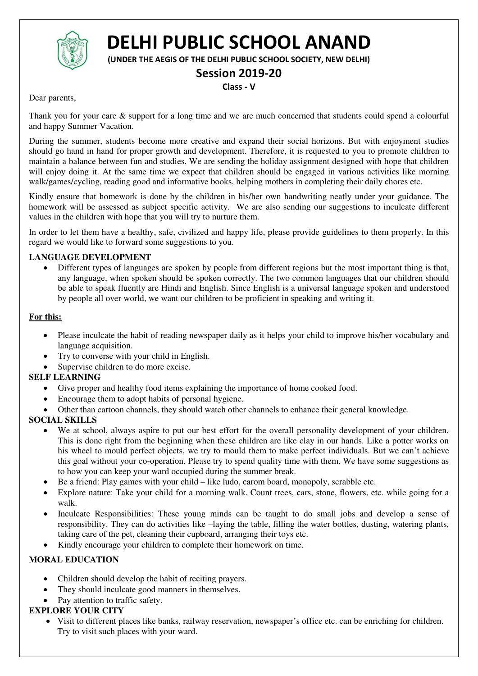

# **DELHI PUBLIC SCHOOL ANAND**

**(UNDER THE AEGIS OF THE DELHI PUBLIC SCHOOL SOCIETY, NEW DELHI)** 

# **Session 2019-20**

#### **Class - V**

Dear parents,

Thank you for your care & support for a long time and we are much concerned that students could spend a colourful and happy Summer Vacation.

During the summer, students become more creative and expand their social horizons. But with enjoyment studies should go hand in hand for proper growth and development. Therefore, it is requested to you to promote children to maintain a balance between fun and studies. We are sending the holiday assignment designed with hope that children will enjoy doing it. At the same time we expect that children should be engaged in various activities like morning walk/games/cycling, reading good and informative books, helping mothers in completing their daily chores etc.

Kindly ensure that homework is done by the children in his/her own handwriting neatly under your guidance. The homework will be assessed as subject specific activity. We are also sending our suggestions to inculcate different values in the children with hope that you will try to nurture them.

In order to let them have a healthy, safe, civilized and happy life, please provide guidelines to them properly. In this regard we would like to forward some suggestions to you.

#### **LANGUAGE DEVELOPMENT**

 Different types of languages are spoken by people from different regions but the most important thing is that, any language, when spoken should be spoken correctly. The two common languages that our children should be able to speak fluently are Hindi and English. Since English is a universal language spoken and understood by people all over world, we want our children to be proficient in speaking and writing it.

#### **For this:**

- Please inculcate the habit of reading newspaper daily as it helps your child to improve his/her vocabulary and language acquisition.
- Try to converse with your child in English.
- Supervise children to do more excise.

#### **SELF LEARNING**

- Give proper and healthy food items explaining the importance of home cooked food.
- Encourage them to adopt habits of personal hygiene.
- Other than cartoon channels, they should watch other channels to enhance their general knowledge.

#### **SOCIAL SKILLS**

- We at school, always aspire to put our best effort for the overall personality development of your children. This is done right from the beginning when these children are like clay in our hands. Like a potter works on his wheel to mould perfect objects, we try to mould them to make perfect individuals. But we can't achieve this goal without your co-operation. Please try to spend quality time with them. We have some suggestions as to how you can keep your ward occupied during the summer break.
- Be a friend: Play games with your child like ludo, carom board, monopoly, scrabble etc.
- Explore nature: Take your child for a morning walk. Count trees, cars, stone, flowers, etc. while going for a walk.
- Inculcate Responsibilities: These young minds can be taught to do small jobs and develop a sense of responsibility. They can do activities like –laying the table, filling the water bottles, dusting, watering plants, taking care of the pet, cleaning their cupboard, arranging their toys etc.
- Kindly encourage your children to complete their homework on time.

# **MORAL EDUCATION**

- Children should develop the habit of reciting prayers.
- They should inculcate good manners in themselves.
- Pay attention to traffic safety.

# **EXPLORE YOUR CITY**

 Visit to different places like banks, railway reservation, newspaper's office etc. can be enriching for children. Try to visit such places with your ward.